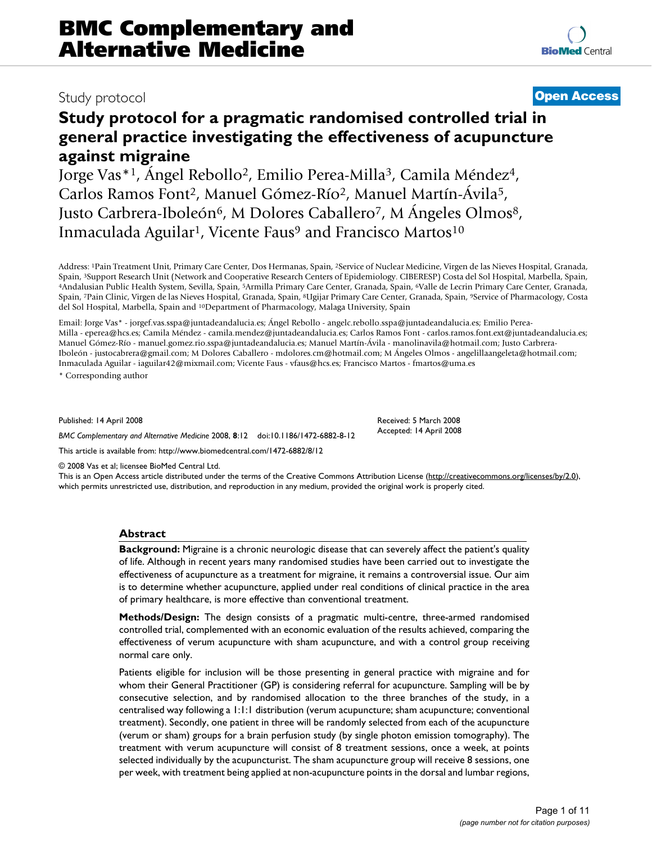# Study protocol **[Open Access](http://www.biomedcentral.com/info/about/charter/)**

# **Study protocol for a pragmatic randomised controlled trial in general practice investigating the effectiveness of acupuncture against migraine**

Jorge Vas\*1, Ángel Rebollo2, Emilio Perea-Milla3, Camila Méndez4, Carlos Ramos Font<sup>2</sup>, Manuel Gómez-Río<sup>2</sup>, Manuel Martín-Ávila<sup>5</sup>, Justo Carbrera-Iboleón<sup>6</sup>, M Dolores Caballero<sup>7</sup>, M Ángeles Olmos<sup>8</sup>, Inmaculada Aguilar<sup>1</sup>, Vicente Faus<sup>9</sup> and Francisco Martos<sup>10</sup>

Address: <sup>1</sup>Pain Treatment Unit, Primary Care Center, Dos Hermanas, Spain, <sup>2</sup>Service of Nuclear Medicine, Virgen de las Nieves Hospital, Granada, Spain, 3Support Research Unit (Network and Cooperative Research Centers of 4Andalusian Public Health System, Sevilla, Spain, 5Armilla Primary Care Center, Granada, Spain, <sup>6</sup>Valle de Lecrin Primary Care Center, Granada, Spain, 7Pain Clinic, Virgen de las Nieves Hospital, Granada, Spain, 8Ugijar Primary Care Center, Granada, Spain, 9Service of Pharmacology, Costa del Sol Hospital, Marbella, Spain and <sup>10</sup>Department of Pharmacology, Malaga University, Spain

Email: Jorge Vas\* - jorgef.vas.sspa@juntadeandalucia.es; Ángel Rebollo - angelc.rebollo.sspa@juntadeandalucia.es; Emilio Perea-Milla - eperea@hcs.es; Camila Méndez - camila.mendez@juntadeandalucia.es; Carlos Ramos Font - carlos.ramos.font.ext@juntadeandalucia.es; Manuel Gómez-Río - manuel.gomez.rio.sspa@juntadeandalucia.es; Manuel Martín-Ávila - manolinavila@hotmail.com; Justo Carbrera-Iboleón - justocabrera@gmail.com; M Dolores Caballero - mdolores.cm@hotmail.com; M Ángeles Olmos - angelillaangeleta@hotmail.com; Inmaculada Aguilar - iaguilar42@mixmail.com; Vicente Faus - vfaus@hcs.es; Francisco Martos - fmartos@uma.es

\* Corresponding author

Published: 14 April 2008

*BMC Complementary and Alternative Medicine* 2008, **8**:12 doi:10.1186/1472-6882-8-12

[This article is available from: http://www.biomedcentral.com/1472-6882/8/12](http://www.biomedcentral.com/1472-6882/8/12)

© 2008 Vas et al; licensee BioMed Central Ltd.

This is an Open Access article distributed under the terms of the Creative Commons Attribution License [\(http://creativecommons.org/licenses/by/2.0\)](http://creativecommons.org/licenses/by/2.0), which permits unrestricted use, distribution, and reproduction in any medium, provided the original work is properly cited.

#### **Abstract**

**Background:** Migraine is a chronic neurologic disease that can severely affect the patient's quality of life. Although in recent years many randomised studies have been carried out to investigate the effectiveness of acupuncture as a treatment for migraine, it remains a controversial issue. Our aim is to determine whether acupuncture, applied under real conditions of clinical practice in the area of primary healthcare, is more effective than conventional treatment.

**Methods/Design:** The design consists of a pragmatic multi-centre, three-armed randomised controlled trial, complemented with an economic evaluation of the results achieved, comparing the effectiveness of verum acupuncture with sham acupuncture, and with a control group receiving normal care only.

Patients eligible for inclusion will be those presenting in general practice with migraine and for whom their General Practitioner (GP) is considering referral for acupuncture. Sampling will be by consecutive selection, and by randomised allocation to the three branches of the study, in a centralised way following a 1:1:1 distribution (verum acupuncture; sham acupuncture; conventional treatment). Secondly, one patient in three will be randomly selected from each of the acupuncture (verum or sham) groups for a brain perfusion study (by single photon emission tomography). The treatment with verum acupuncture will consist of 8 treatment sessions, once a week, at points selected individually by the acupuncturist. The sham acupuncture group will receive 8 sessions, one per week, with treatment being applied at non-acupuncture points in the dorsal and lumbar regions,

Received: 5 March 2008 Accepted: 14 April 2008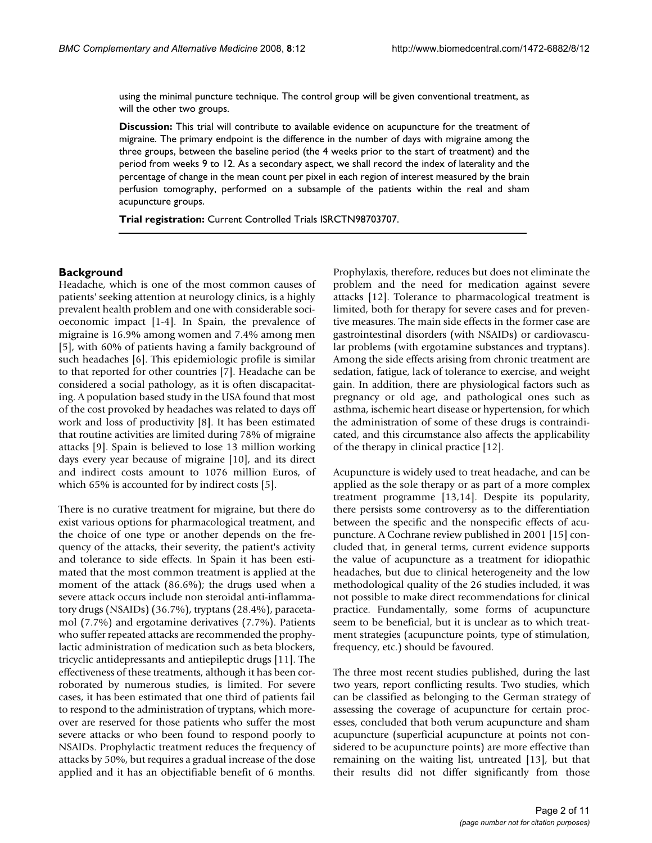using the minimal puncture technique. The control group will be given conventional treatment, as will the other two groups.

**Discussion:** This trial will contribute to available evidence on acupuncture for the treatment of migraine. The primary endpoint is the difference in the number of days with migraine among the three groups, between the baseline period (the 4 weeks prior to the start of treatment) and the period from weeks 9 to 12. As a secondary aspect, we shall record the index of laterality and the percentage of change in the mean count per pixel in each region of interest measured by the brain perfusion tomography, performed on a subsample of the patients within the real and sham acupuncture groups.

**Trial registration:** Current Controlled Trials ISRCTN98703707.

#### **Background**

Headache, which is one of the most common causes of patients' seeking attention at neurology clinics, is a highly prevalent health problem and one with considerable socioeconomic impact [1-4]. In Spain, the prevalence of migraine is 16.9% among women and 7.4% among men [5], with 60% of patients having a family background of such headaches [6]. This epidemiologic profile is similar to that reported for other countries [7]. Headache can be considered a social pathology, as it is often discapacitating. A population based study in the USA found that most of the cost provoked by headaches was related to days off work and loss of productivity [8]. It has been estimated that routine activities are limited during 78% of migraine attacks [9]. Spain is believed to lose 13 million working days every year because of migraine [10], and its direct and indirect costs amount to 1076 million Euros, of which 65% is accounted for by indirect costs [5].

There is no curative treatment for migraine, but there do exist various options for pharmacological treatment, and the choice of one type or another depends on the frequency of the attacks, their severity, the patient's activity and tolerance to side effects. In Spain it has been estimated that the most common treatment is applied at the moment of the attack (86.6%); the drugs used when a severe attack occurs include non steroidal anti-inflammatory drugs (NSAIDs) (36.7%), tryptans (28.4%), paracetamol (7.7%) and ergotamine derivatives (7.7%). Patients who suffer repeated attacks are recommended the prophylactic administration of medication such as beta blockers, tricyclic antidepressants and antiepileptic drugs [11]. The effectiveness of these treatments, although it has been corroborated by numerous studies, is limited. For severe cases, it has been estimated that one third of patients fail to respond to the administration of tryptans, which moreover are reserved for those patients who suffer the most severe attacks or who been found to respond poorly to NSAIDs. Prophylactic treatment reduces the frequency of attacks by 50%, but requires a gradual increase of the dose applied and it has an objectifiable benefit of 6 months.

Prophylaxis, therefore, reduces but does not eliminate the problem and the need for medication against severe attacks [12]. Tolerance to pharmacological treatment is limited, both for therapy for severe cases and for preventive measures. The main side effects in the former case are gastrointestinal disorders (with NSAIDs) or cardiovascular problems (with ergotamine substances and tryptans). Among the side effects arising from chronic treatment are sedation, fatigue, lack of tolerance to exercise, and weight gain. In addition, there are physiological factors such as pregnancy or old age, and pathological ones such as asthma, ischemic heart disease or hypertension, for which the administration of some of these drugs is contraindicated, and this circumstance also affects the applicability of the therapy in clinical practice [12].

Acupuncture is widely used to treat headache, and can be applied as the sole therapy or as part of a more complex treatment programme [13,14]. Despite its popularity, there persists some controversy as to the differentiation between the specific and the nonspecific effects of acupuncture. A Cochrane review published in 2001 [15] concluded that, in general terms, current evidence supports the value of acupuncture as a treatment for idiopathic headaches, but due to clinical heterogeneity and the low methodological quality of the 26 studies included, it was not possible to make direct recommendations for clinical practice. Fundamentally, some forms of acupuncture seem to be beneficial, but it is unclear as to which treatment strategies (acupuncture points, type of stimulation, frequency, etc.) should be favoured.

The three most recent studies published, during the last two years, report conflicting results. Two studies, which can be classified as belonging to the German strategy of assessing the coverage of acupuncture for certain processes, concluded that both verum acupuncture and sham acupuncture (superficial acupuncture at points not considered to be acupuncture points) are more effective than remaining on the waiting list, untreated [13], but that their results did not differ significantly from those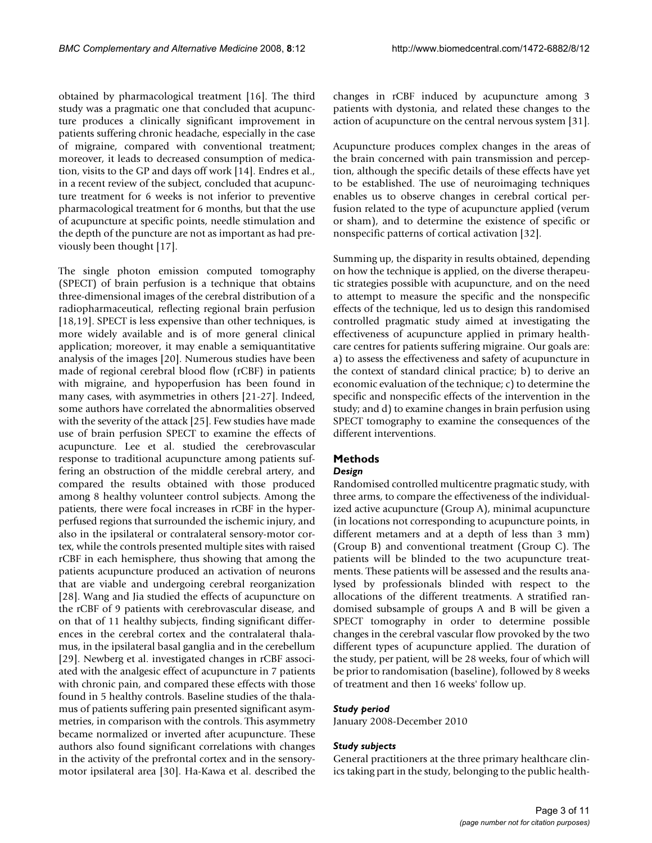obtained by pharmacological treatment [16]. The third study was a pragmatic one that concluded that acupuncture produces a clinically significant improvement in patients suffering chronic headache, especially in the case of migraine, compared with conventional treatment; moreover, it leads to decreased consumption of medication, visits to the GP and days off work [14]. Endres et al., in a recent review of the subject, concluded that acupuncture treatment for 6 weeks is not inferior to preventive pharmacological treatment for 6 months, but that the use of acupuncture at specific points, needle stimulation and the depth of the puncture are not as important as had previously been thought [17].

The single photon emission computed tomography (SPECT) of brain perfusion is a technique that obtains three-dimensional images of the cerebral distribution of a radiopharmaceutical, reflecting regional brain perfusion [18,19]. SPECT is less expensive than other techniques, is more widely available and is of more general clinical application; moreover, it may enable a semiquantitative analysis of the images [20]. Numerous studies have been made of regional cerebral blood flow (rCBF) in patients with migraine, and hypoperfusion has been found in many cases, with asymmetries in others [21-27]. Indeed, some authors have correlated the abnormalities observed with the severity of the attack [25]. Few studies have made use of brain perfusion SPECT to examine the effects of acupuncture. Lee et al. studied the cerebrovascular response to traditional acupuncture among patients suffering an obstruction of the middle cerebral artery, and compared the results obtained with those produced among 8 healthy volunteer control subjects. Among the patients, there were focal increases in rCBF in the hyperperfused regions that surrounded the ischemic injury, and also in the ipsilateral or contralateral sensory-motor cortex, while the controls presented multiple sites with raised rCBF in each hemisphere, thus showing that among the patients acupuncture produced an activation of neurons that are viable and undergoing cerebral reorganization [28]. Wang and Jia studied the effects of acupuncture on the rCBF of 9 patients with cerebrovascular disease, and on that of 11 healthy subjects, finding significant differences in the cerebral cortex and the contralateral thalamus, in the ipsilateral basal ganglia and in the cerebellum [29]. Newberg et al. investigated changes in rCBF associated with the analgesic effect of acupuncture in 7 patients with chronic pain, and compared these effects with those found in 5 healthy controls. Baseline studies of the thalamus of patients suffering pain presented significant asymmetries, in comparison with the controls. This asymmetry became normalized or inverted after acupuncture. These authors also found significant correlations with changes in the activity of the prefrontal cortex and in the sensorymotor ipsilateral area [30]. Ha-Kawa et al. described the changes in rCBF induced by acupuncture among 3 patients with dystonia, and related these changes to the action of acupuncture on the central nervous system [31].

Acupuncture produces complex changes in the areas of the brain concerned with pain transmission and perception, although the specific details of these effects have yet to be established. The use of neuroimaging techniques enables us to observe changes in cerebral cortical perfusion related to the type of acupuncture applied (verum or sham), and to determine the existence of specific or nonspecific patterns of cortical activation [32].

Summing up, the disparity in results obtained, depending on how the technique is applied, on the diverse therapeutic strategies possible with acupuncture, and on the need to attempt to measure the specific and the nonspecific effects of the technique, led us to design this randomised controlled pragmatic study aimed at investigating the effectiveness of acupuncture applied in primary healthcare centres for patients suffering migraine. Our goals are: a) to assess the effectiveness and safety of acupuncture in the context of standard clinical practice; b) to derive an economic evaluation of the technique; c) to determine the specific and nonspecific effects of the intervention in the study; and d) to examine changes in brain perfusion using SPECT tomography to examine the consequences of the different interventions.

# **Methods**

#### *Design*

Randomised controlled multicentre pragmatic study, with three arms, to compare the effectiveness of the individualized active acupuncture (Group A), minimal acupuncture (in locations not corresponding to acupuncture points, in different metamers and at a depth of less than 3 mm) (Group B) and conventional treatment (Group C). The patients will be blinded to the two acupuncture treatments. These patients will be assessed and the results analysed by professionals blinded with respect to the allocations of the different treatments. A stratified randomised subsample of groups A and B will be given a SPECT tomography in order to determine possible changes in the cerebral vascular flow provoked by the two different types of acupuncture applied. The duration of the study, per patient, will be 28 weeks, four of which will be prior to randomisation (baseline), followed by 8 weeks of treatment and then 16 weeks' follow up.

#### *Study period*

January 2008-December 2010

#### *Study subjects*

General practitioners at the three primary healthcare clinics taking part in the study, belonging to the public health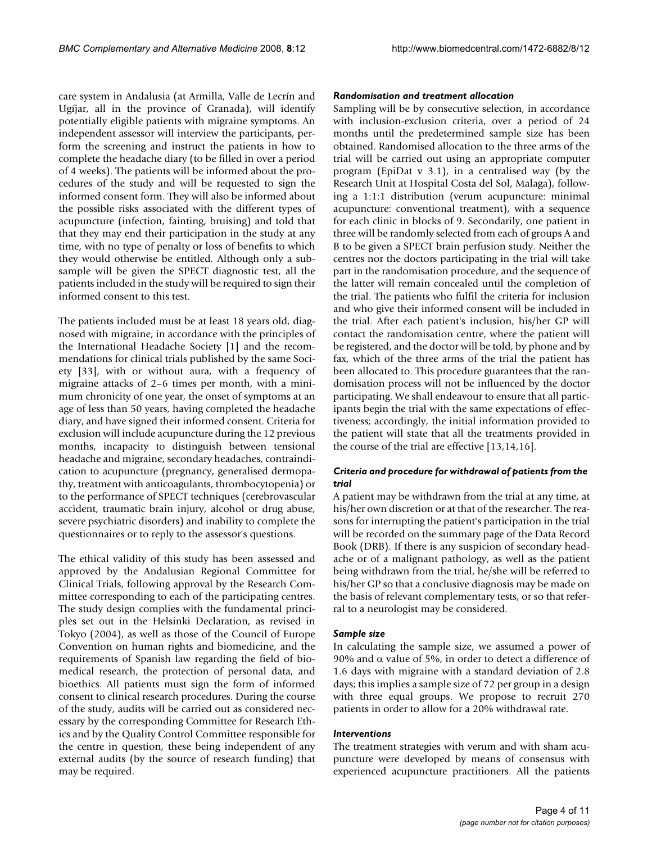care system in Andalusia (at Armilla, Valle de Lecrín and Ugíjar, all in the province of Granada), will identify potentially eligible patients with migraine symptoms. An independent assessor will interview the participants, perform the screening and instruct the patients in how to complete the headache diary (to be filled in over a period of 4 weeks). The patients will be informed about the procedures of the study and will be requested to sign the informed consent form. They will also be informed about the possible risks associated with the different types of acupuncture (infection, fainting, bruising) and told that that they may end their participation in the study at any time, with no type of penalty or loss of benefits to which they would otherwise be entitled. Although only a subsample will be given the SPECT diagnostic test, all the patients included in the study will be required to sign their informed consent to this test.

The patients included must be at least 18 years old, diagnosed with migraine, in accordance with the principles of the International Headache Society [1] and the recommendations for clinical trials published by the same Society [33], with or without aura, with a frequency of migraine attacks of 2–6 times per month, with a minimum chronicity of one year, the onset of symptoms at an age of less than 50 years, having completed the headache diary, and have signed their informed consent. Criteria for exclusion will include acupuncture during the 12 previous months, incapacity to distinguish between tensional headache and migraine, secondary headaches, contraindication to acupuncture (pregnancy, generalised dermopathy, treatment with anticoagulants, thrombocytopenia) or to the performance of SPECT techniques (cerebrovascular accident, traumatic brain injury, alcohol or drug abuse, severe psychiatric disorders) and inability to complete the questionnaires or to reply to the assessor's questions.

The ethical validity of this study has been assessed and approved by the Andalusian Regional Committee for Clinical Trials, following approval by the Research Committee corresponding to each of the participating centres. The study design complies with the fundamental principles set out in the Helsinki Declaration, as revised in Tokyo (2004), as well as those of the Council of Europe Convention on human rights and biomedicine, and the requirements of Spanish law regarding the field of biomedical research, the protection of personal data, and bioethics. All patients must sign the form of informed consent to clinical research procedures. During the course of the study, audits will be carried out as considered necessary by the corresponding Committee for Research Ethics and by the Quality Control Committee responsible for the centre in question, these being independent of any external audits (by the source of research funding) that may be required.

# *Randomisation and treatment allocation*

Sampling will be by consecutive selection, in accordance with inclusion-exclusion criteria, over a period of 24 months until the predetermined sample size has been obtained. Randomised allocation to the three arms of the trial will be carried out using an appropriate computer program (EpiDat v 3.1), in a centralised way (by the Research Unit at Hospital Costa del Sol, Malaga), following a 1:1:1 distribution (verum acupuncture: minimal acupuncture: conventional treatment), with a sequence for each clinic in blocks of 9. Secondarily, one patient in three will be randomly selected from each of groups A and B to be given a SPECT brain perfusion study. Neither the centres nor the doctors participating in the trial will take part in the randomisation procedure, and the sequence of the latter will remain concealed until the completion of the trial. The patients who fulfil the criteria for inclusion and who give their informed consent will be included in the trial. After each patient's inclusion, his/her GP will contact the randomisation centre, where the patient will be registered, and the doctor will be told, by phone and by fax, which of the three arms of the trial the patient has been allocated to. This procedure guarantees that the randomisation process will not be influenced by the doctor participating. We shall endeavour to ensure that all participants begin the trial with the same expectations of effectiveness; accordingly, the initial information provided to the patient will state that all the treatments provided in the course of the trial are effective [13,14,16].

# *Criteria and procedure for withdrawal of patients from the trial*

A patient may be withdrawn from the trial at any time, at his/her own discretion or at that of the researcher. The reasons for interrupting the patient's participation in the trial will be recorded on the summary page of the Data Record Book (DRB). If there is any suspicion of secondary headache or of a malignant pathology, as well as the patient being withdrawn from the trial, he/she will be referred to his/her GP so that a conclusive diagnosis may be made on the basis of relevant complementary tests, or so that referral to a neurologist may be considered.

# *Sample size*

In calculating the sample size, we assumed a power of 90% and  $\alpha$  value of 5%, in order to detect a difference of 1.6 days with migraine with a standard deviation of 2.8 days; this implies a sample size of 72 per group in a design with three equal groups. We propose to recruit 270 patients in order to allow for a 20% withdrawal rate.

#### *Interventions*

The treatment strategies with verum and with sham acupuncture were developed by means of consensus with experienced acupuncture practitioners. All the patients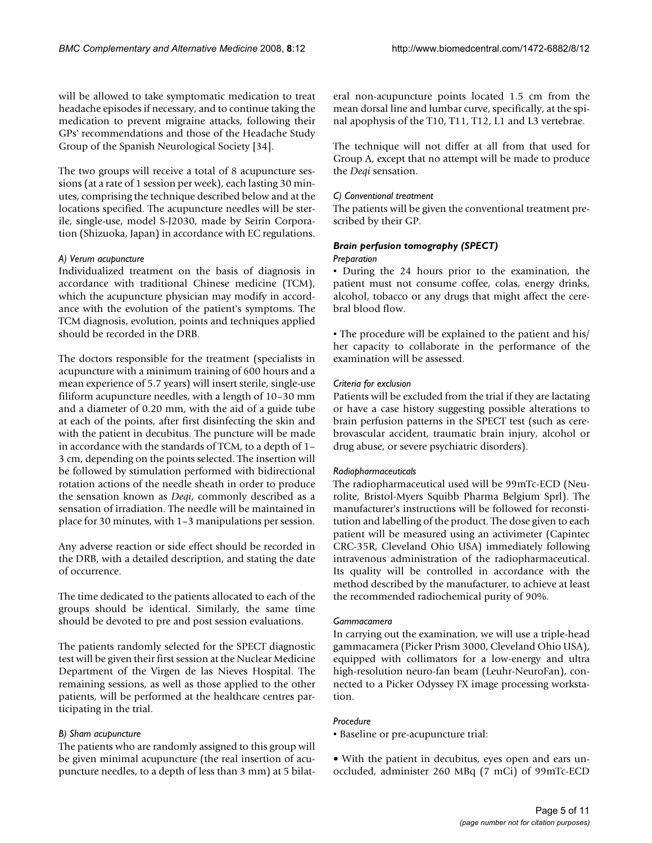will be allowed to take symptomatic medication to treat headache episodes if necessary, and to continue taking the medication to prevent migraine attacks, following their GPs' recommendations and those of the Headache Study Group of the Spanish Neurological Society [34].

The two groups will receive a total of 8 acupuncture sessions (at a rate of 1 session per week), each lasting 30 minutes, comprising the technique described below and at the locations specified. The acupuncture needles will be sterile, single-use, model S-J2030, made by Seirin Corporation (Shizuoka, Japan) in accordance with EC regulations.

### *A) Verum acupuncture*

Individualized treatment on the basis of diagnosis in accordance with traditional Chinese medicine (TCM), which the acupuncture physician may modify in accordance with the evolution of the patient's symptoms. The TCM diagnosis, evolution, points and techniques applied should be recorded in the DRB.

The doctors responsible for the treatment (specialists in acupuncture with a minimum training of 600 hours and a mean experience of 5.7 years) will insert sterile, single-use filiform acupuncture needles, with a length of 10–30 mm and a diameter of 0.20 mm, with the aid of a guide tube at each of the points, after first disinfecting the skin and with the patient in decubitus. The puncture will be made in accordance with the standards of TCM, to a depth of 1– 3 cm, depending on the points selected. The insertion will be followed by stimulation performed with bidirectional rotation actions of the needle sheath in order to produce the sensation known as *Deqi*, commonly described as a sensation of irradiation. The needle will be maintained in place for 30 minutes, with 1–3 manipulations per session.

Any adverse reaction or side effect should be recorded in the DRB, with a detailed description, and stating the date of occurrence.

The time dedicated to the patients allocated to each of the groups should be identical. Similarly, the same time should be devoted to pre and post session evaluations.

The patients randomly selected for the SPECT diagnostic test will be given their first session at the Nuclear Medicine Department of the Virgen de las Nieves Hospital. The remaining sessions, as well as those applied to the other patients, will be performed at the healthcare centres participating in the trial.

#### *B) Sham acupuncture*

The patients who are randomly assigned to this group will be given minimal acupuncture (the real insertion of acupuncture needles, to a depth of less than 3 mm) at 5 bilateral non-acupuncture points located 1.5 cm from the mean dorsal line and lumbar curve, specifically, at the spinal apophysis of the T10, T11, T12, L1 and L3 vertebrae.

The technique will not differ at all from that used for Group A, except that no attempt will be made to produce the *Deqi* sensation.

#### *C) Conventional treatment*

The patients will be given the conventional treatment prescribed by their GP.

#### *Brain perfusion tomography (SPECT)*

*Preparation*

▪ During the 24 hours prior to the examination, the patient must not consume coffee, colas, energy drinks, alcohol, tobacco or any drugs that might affect the cerebral blood flow.

▪ The procedure will be explained to the patient and his/ her capacity to collaborate in the performance of the examination will be assessed.

#### *Criteria for exclusion*

Patients will be excluded from the trial if they are lactating or have a case history suggesting possible alterations to brain perfusion patterns in the SPECT test (such as cerebrovascular accident, traumatic brain injury, alcohol or drug abuse, or severe psychiatric disorders).

#### *Radiopharmaceuticals*

The radiopharmaceutical used will be 99mTc-ECD (Neurolite, Bristol-Myers Squibb Pharma Belgium Sprl). The manufacturer's instructions will be followed for reconstitution and labelling of the product. The dose given to each patient will be measured using an activimeter (Capintec CRC-35R, Cleveland Ohio USA) immediately following intravenous administration of the radiopharmaceutical. Its quality will be controlled in accordance with the method described by the manufacturer, to achieve at least the recommended radiochemical purity of 90%.

#### *Gammacamera*

In carrying out the examination, we will use a triple-head gammacamera (Picker Prism 3000, Cleveland Ohio USA), equipped with collimators for a low-energy and ultra high-resolution neuro-fan beam (Leuhr-NeuroFan), connected to a Picker Odyssey FX image processing workstation.

#### *Procedure*

▪ Baseline or pre-acupuncture trial:

• With the patient in decubitus, eyes open and ears unoccluded, administer 260 MBq (7 mCi) of 99mTc-ECD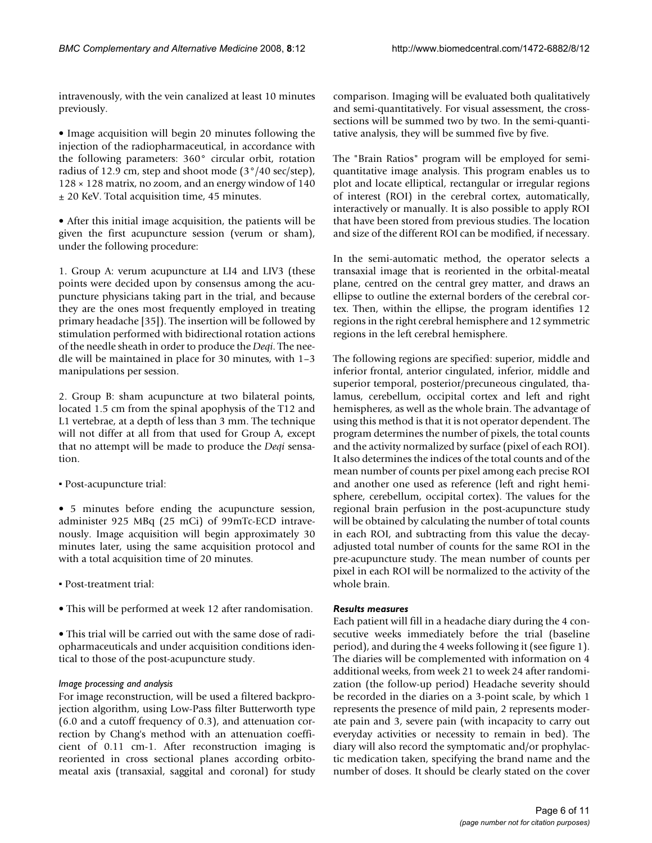intravenously, with the vein canalized at least 10 minutes previously.

• Image acquisition will begin 20 minutes following the injection of the radiopharmaceutical, in accordance with the following parameters: 360° circular orbit, rotation radius of 12.9 cm, step and shoot mode (3°/40 sec/step), 128 × 128 matrix, no zoom, and an energy window of 140 ± 20 KeV. Total acquisition time, 45 minutes.

• After this initial image acquisition, the patients will be given the first acupuncture session (verum or sham), under the following procedure:

1. Group A: verum acupuncture at LI4 and LIV3 (these points were decided upon by consensus among the acupuncture physicians taking part in the trial, and because they are the ones most frequently employed in treating primary headache [35]). The insertion will be followed by stimulation performed with bidirectional rotation actions of the needle sheath in order to produce the *Deqi*. The needle will be maintained in place for 30 minutes, with 1–3 manipulations per session.

2. Group B: sham acupuncture at two bilateral points, located 1.5 cm from the spinal apophysis of the T12 and L1 vertebrae, at a depth of less than 3 mm. The technique will not differ at all from that used for Group A, except that no attempt will be made to produce the *Deqi* sensation.

▪ Post-acupuncture trial:

• 5 minutes before ending the acupuncture session, administer 925 MBq (25 mCi) of 99mTc-ECD intravenously. Image acquisition will begin approximately 30 minutes later, using the same acquisition protocol and with a total acquisition time of 20 minutes.

- Post-treatment trial:
- This will be performed at week 12 after randomisation.

• This trial will be carried out with the same dose of radiopharmaceuticals and under acquisition conditions identical to those of the post-acupuncture study.

# *Image processing and analysis*

For image reconstruction, will be used a filtered backprojection algorithm, using Low-Pass filter Butterworth type (6.0 and a cutoff frequency of 0.3), and attenuation correction by Chang's method with an attenuation coefficient of 0.11 cm-1. After reconstruction imaging is reoriented in cross sectional planes according orbitomeatal axis (transaxial, saggital and coronal) for study comparison. Imaging will be evaluated both qualitatively and semi-quantitatively. For visual assessment, the crosssections will be summed two by two. In the semi-quantitative analysis, they will be summed five by five.

The "Brain Ratios" program will be employed for semiquantitative image analysis. This program enables us to plot and locate elliptical, rectangular or irregular regions of interest (ROI) in the cerebral cortex, automatically, interactively or manually. It is also possible to apply ROI that have been stored from previous studies. The location and size of the different ROI can be modified, if necessary.

In the semi-automatic method, the operator selects a transaxial image that is reoriented in the orbital-meatal plane, centred on the central grey matter, and draws an ellipse to outline the external borders of the cerebral cortex. Then, within the ellipse, the program identifies 12 regions in the right cerebral hemisphere and 12 symmetric regions in the left cerebral hemisphere.

The following regions are specified: superior, middle and inferior frontal, anterior cingulated, inferior, middle and superior temporal, posterior/precuneous cingulated, thalamus, cerebellum, occipital cortex and left and right hemispheres, as well as the whole brain. The advantage of using this method is that it is not operator dependent. The program determines the number of pixels, the total counts and the activity normalized by surface (pixel of each ROI). It also determines the indices of the total counts and of the mean number of counts per pixel among each precise ROI and another one used as reference (left and right hemisphere, cerebellum, occipital cortex). The values for the regional brain perfusion in the post-acupuncture study will be obtained by calculating the number of total counts in each ROI, and subtracting from this value the decayadjusted total number of counts for the same ROI in the pre-acupuncture study. The mean number of counts per pixel in each ROI will be normalized to the activity of the whole brain.

# *Results measures*

Each patient will fill in a headache diary during the 4 consecutive weeks immediately before the trial (baseline period), and during the 4 weeks following it (see figure 1). The diaries will be complemented with information on 4 additional weeks, from week 21 to week 24 after randomization (the follow-up period) Headache severity should be recorded in the diaries on a 3-point scale, by which 1 represents the presence of mild pain, 2 represents moderate pain and 3, severe pain (with incapacity to carry out everyday activities or necessity to remain in bed). The diary will also record the symptomatic and/or prophylactic medication taken, specifying the brand name and the number of doses. It should be clearly stated on the cover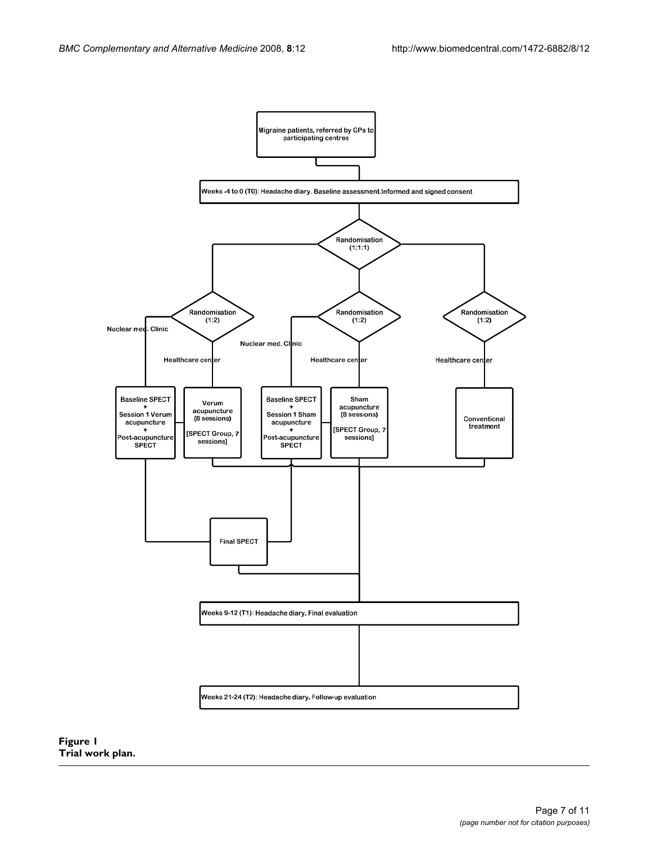

**Figure 1 Trial work plan.**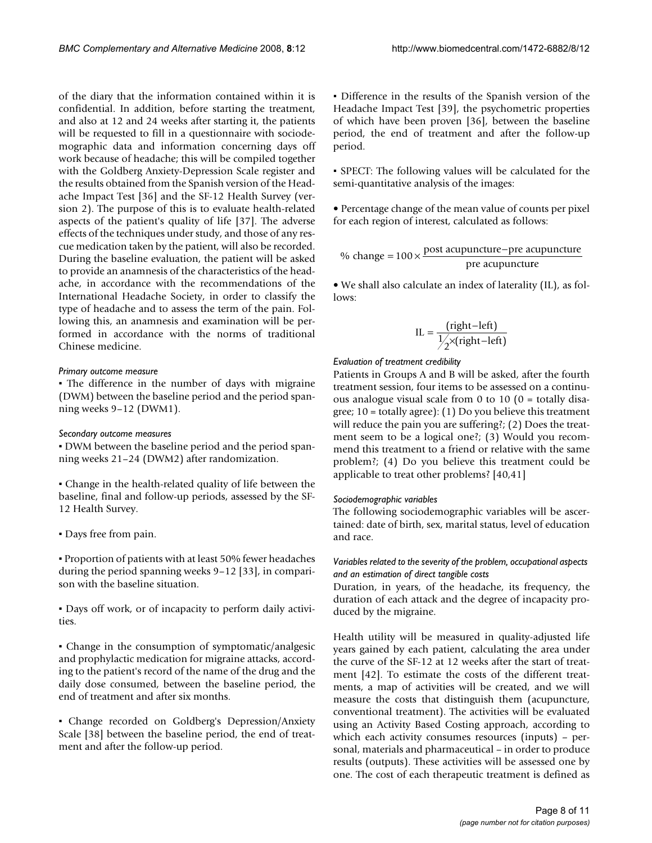of the diary that the information contained within it is confidential. In addition, before starting the treatment, and also at 12 and 24 weeks after starting it, the patients will be requested to fill in a questionnaire with sociodemographic data and information concerning days off work because of headache; this will be compiled together with the Goldberg Anxiety-Depression Scale register and the results obtained from the Spanish version of the Headache Impact Test [36] and the SF-12 Health Survey (version 2). The purpose of this is to evaluate health-related aspects of the patient's quality of life [37]. The adverse effects of the techniques under study, and those of any rescue medication taken by the patient, will also be recorded. During the baseline evaluation, the patient will be asked to provide an anamnesis of the characteristics of the headache, in accordance with the recommendations of the International Headache Society, in order to classify the type of headache and to assess the term of the pain. Following this, an anamnesis and examination will be performed in accordance with the norms of traditional Chinese medicine.

#### *Primary outcome measure*

▪ The difference in the number of days with migraine (DWM) between the baseline period and the period spanning weeks 9–12 (DWM1).

#### *Secondary outcome measures*

▪ DWM between the baseline period and the period spanning weeks 21–24 (DWM2) after randomization.

▪ Change in the health-related quality of life between the baseline, final and follow-up periods, assessed by the SF-12 Health Survey.

▪ Days free from pain.

▪ Proportion of patients with at least 50% fewer headaches during the period spanning weeks 9–12 [33], in comparison with the baseline situation.

▪ Days off work, or of incapacity to perform daily activities.

▪ Change in the consumption of symptomatic/analgesic and prophylactic medication for migraine attacks, according to the patient's record of the name of the drug and the daily dose consumed, between the baseline period, the end of treatment and after six months.

▪ Change recorded on Goldberg's Depression/Anxiety Scale [38] between the baseline period, the end of treatment and after the follow-up period.

▪ Difference in the results of the Spanish version of the Headache Impact Test [39], the psychometric properties of which have been proven [36], between the baseline period, the end of treatment and after the follow-up period.

▪ SPECT: The following values will be calculated for the semi-quantitative analysis of the images:

• Percentage change of the mean value of counts per pixel for each region of interest, calculated as follows:

% change =  $100 \times \frac{\text{post acupuncture}-\text{pre acupuncture}}{\text{post acupuncture}}$ pre acupunctu re

• We shall also calculate an index of laterality (IL), as follows:

$$
IL = \frac{(right-left)}{\frac{1}{2} \times (right-left)}
$$

#### *Evaluation of treatment credibility*

Patients in Groups A and B will be asked, after the fourth treatment session, four items to be assessed on a continuous analogue visual scale from 0 to 10 ( $0 =$  totally disagree; 10 = totally agree): (1) Do you believe this treatment will reduce the pain you are suffering?; (2) Does the treatment seem to be a logical one?; (3) Would you recommend this treatment to a friend or relative with the same problem?; (4) Do you believe this treatment could be applicable to treat other problems? [40,41]

#### *Sociodemographic variables*

The following sociodemographic variables will be ascertained: date of birth, sex, marital status, level of education and race.

# *Variables related to the severity of the problem, occupational aspects and an estimation of direct tangible costs*

Duration, in years, of the headache, its frequency, the duration of each attack and the degree of incapacity produced by the migraine.

Health utility will be measured in quality-adjusted life years gained by each patient, calculating the area under the curve of the SF-12 at 12 weeks after the start of treatment [42]. To estimate the costs of the different treatments, a map of activities will be created, and we will measure the costs that distinguish them (acupuncture, conventional treatment). The activities will be evaluated using an Activity Based Costing approach, according to which each activity consumes resources (inputs) – personal, materials and pharmaceutical – in order to produce results (outputs). These activities will be assessed one by one. The cost of each therapeutic treatment is defined as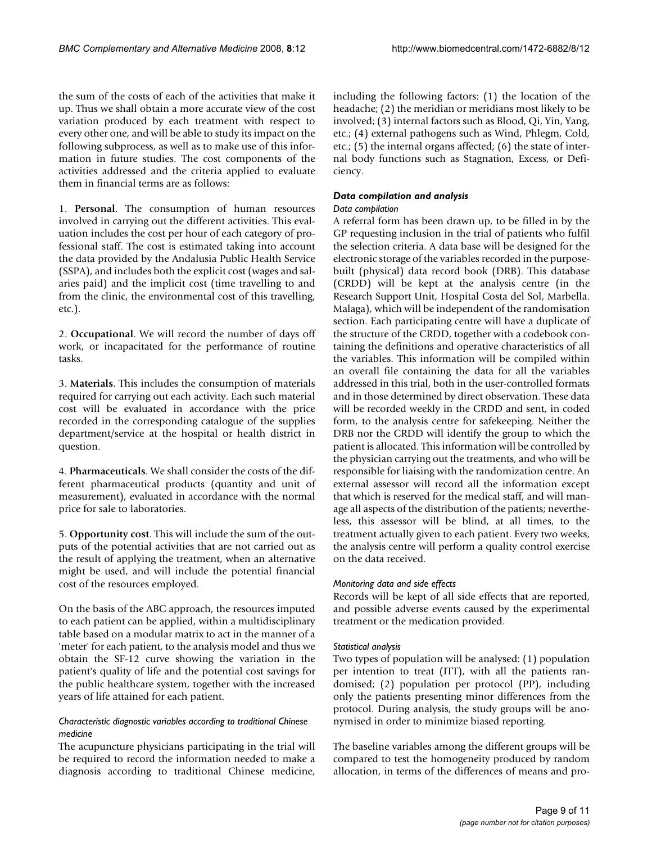the sum of the costs of each of the activities that make it up. Thus we shall obtain a more accurate view of the cost variation produced by each treatment with respect to every other one, and will be able to study its impact on the following subprocess, as well as to make use of this information in future studies. The cost components of the activities addressed and the criteria applied to evaluate them in financial terms are as follows:

1. **Personal**. The consumption of human resources involved in carrying out the different activities. This evaluation includes the cost per hour of each category of professional staff. The cost is estimated taking into account the data provided by the Andalusia Public Health Service (SSPA), and includes both the explicit cost (wages and salaries paid) and the implicit cost (time travelling to and from the clinic, the environmental cost of this travelling, etc.).

2. **Occupational**. We will record the number of days off work, or incapacitated for the performance of routine tasks.

3. **Materials**. This includes the consumption of materials required for carrying out each activity. Each such material cost will be evaluated in accordance with the price recorded in the corresponding catalogue of the supplies department/service at the hospital or health district in question.

4. **Pharmaceuticals**. We shall consider the costs of the different pharmaceutical products (quantity and unit of measurement), evaluated in accordance with the normal price for sale to laboratories.

5. **Opportunity cost**. This will include the sum of the outputs of the potential activities that are not carried out as the result of applying the treatment, when an alternative might be used, and will include the potential financial cost of the resources employed.

On the basis of the ABC approach, the resources imputed to each patient can be applied, within a multidisciplinary table based on a modular matrix to act in the manner of a 'meter' for each patient, to the analysis model and thus we obtain the SF-12 curve showing the variation in the patient's quality of life and the potential cost savings for the public healthcare system, together with the increased years of life attained for each patient.

# *Characteristic diagnostic variables according to traditional Chinese medicine*

The acupuncture physicians participating in the trial will be required to record the information needed to make a diagnosis according to traditional Chinese medicine,

including the following factors: (1) the location of the headache; (2) the meridian or meridians most likely to be involved; (3) internal factors such as Blood, Qi, Yin, Yang, etc.; (4) external pathogens such as Wind, Phlegm, Cold, etc.; (5) the internal organs affected; (6) the state of internal body functions such as Stagnation, Excess, or Deficiency.

# *Data compilation and analysis*

# *Data compilation*

A referral form has been drawn up, to be filled in by the GP requesting inclusion in the trial of patients who fulfil the selection criteria. A data base will be designed for the electronic storage of the variables recorded in the purposebuilt (physical) data record book (DRB). This database (CRDD) will be kept at the analysis centre (in the Research Support Unit, Hospital Costa del Sol, Marbella. Malaga), which will be independent of the randomisation section. Each participating centre will have a duplicate of the structure of the CRDD, together with a codebook containing the definitions and operative characteristics of all the variables. This information will be compiled within an overall file containing the data for all the variables addressed in this trial, both in the user-controlled formats and in those determined by direct observation. These data will be recorded weekly in the CRDD and sent, in coded form, to the analysis centre for safekeeping. Neither the DRB nor the CRDD will identify the group to which the patient is allocated. This information will be controlled by the physician carrying out the treatments, and who will be responsible for liaising with the randomization centre. An external assessor will record all the information except that which is reserved for the medical staff, and will manage all aspects of the distribution of the patients; nevertheless, this assessor will be blind, at all times, to the treatment actually given to each patient. Every two weeks, the analysis centre will perform a quality control exercise on the data received.

# *Monitoring data and side effects*

Records will be kept of all side effects that are reported, and possible adverse events caused by the experimental treatment or the medication provided.

#### *Statistical analysis*

Two types of population will be analysed: (1) population per intention to treat (ITT), with all the patients randomised; (2) population per protocol (PP), including only the patients presenting minor differences from the protocol. During analysis, the study groups will be anonymised in order to minimize biased reporting.

The baseline variables among the different groups will be compared to test the homogeneity produced by random allocation, in terms of the differences of means and pro-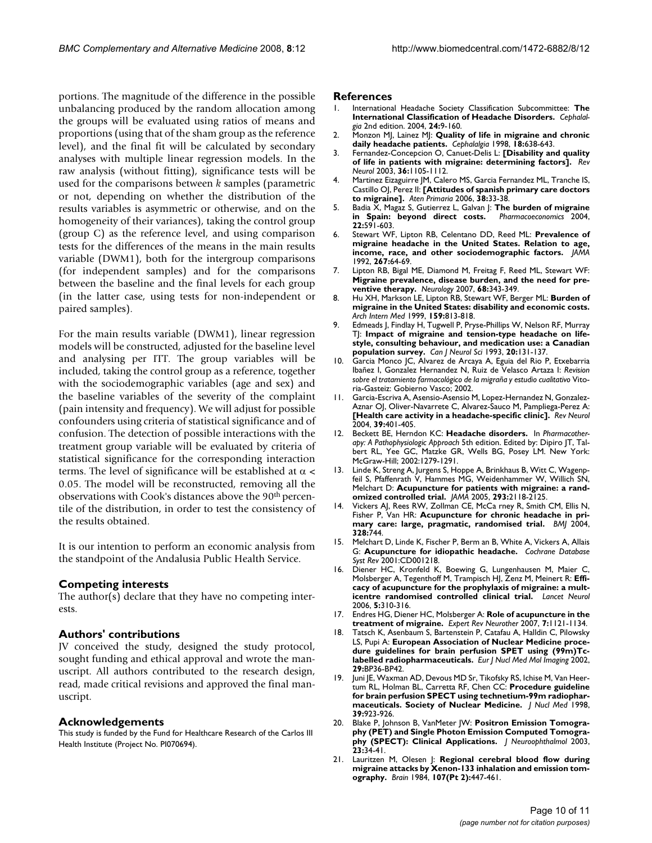portions. The magnitude of the difference in the possible unbalancing produced by the random allocation among the groups will be evaluated using ratios of means and proportions (using that of the sham group as the reference level), and the final fit will be calculated by secondary analyses with multiple linear regression models. In the raw analysis (without fitting), significance tests will be used for the comparisons between *k* samples (parametric or not, depending on whether the distribution of the results variables is asymmetric or otherwise, and on the homogeneity of their variances), taking the control group (group C) as the reference level, and using comparison tests for the differences of the means in the main results variable (DWM1), both for the intergroup comparisons (for independent samples) and for the comparisons between the baseline and the final levels for each group (in the latter case, using tests for non-independent or paired samples).

For the main results variable (DWM1), linear regression models will be constructed, adjusted for the baseline level and analysing per ITT. The group variables will be included, taking the control group as a reference, together with the sociodemographic variables (age and sex) and the baseline variables of the severity of the complaint (pain intensity and frequency). We will adjust for possible confounders using criteria of statistical significance and of confusion. The detection of possible interactions with the treatment group variable will be evaluated by criteria of statistical significance for the corresponding interaction terms. The level of significance will be established at  $\alpha$  < 0.05. The model will be reconstructed, removing all the observations with Cook's distances above the 90th percentile of the distribution, in order to test the consistency of the results obtained.

It is our intention to perform an economic analysis from the standpoint of the Andalusia Public Health Service.

# **Competing interests**

The author(s) declare that they have no competing interests.

# **Authors' contributions**

JV conceived the study, designed the study protocol, sought funding and ethical approval and wrote the manuscript. All authors contributed to the research design, read, made critical revisions and approved the final manuscript.

# **Acknowledgements**

This study is funded by the Fund for Healthcare Research of the Carlos III Health Institute (Project No. PI070694).

#### **References**

- 1. International Headache Society Classification Subcommittee: **[The](http://www.ncbi.nlm.nih.gov/entrez/query.fcgi?cmd=Retrieve&db=PubMed&dopt=Abstract&list_uids=14979299) [International Classification of Headache Disorders.](http://www.ncbi.nlm.nih.gov/entrez/query.fcgi?cmd=Retrieve&db=PubMed&dopt=Abstract&list_uids=14979299)** *Cephalalgia* 2nd edition. 2004, **24:**9-160.
- 2. Monzon MJ, Lainez MJ: **[Quality of life in migraine and chronic](http://www.ncbi.nlm.nih.gov/entrez/query.fcgi?cmd=Retrieve&db=PubMed&dopt=Abstract&list_uids=9876889) [daily headache patients.](http://www.ncbi.nlm.nih.gov/entrez/query.fcgi?cmd=Retrieve&db=PubMed&dopt=Abstract&list_uids=9876889)** *Cephalalgia* 1998, **18:**638-643.
- 3. Fernandez-Concepcion O, Canuet-Delis L: **[\[Disability and quality](http://www.ncbi.nlm.nih.gov/entrez/query.fcgi?cmd=Retrieve&db=PubMed&dopt=Abstract&list_uids=12833226) [of life in patients with migraine: determining factors\].](http://www.ncbi.nlm.nih.gov/entrez/query.fcgi?cmd=Retrieve&db=PubMed&dopt=Abstract&list_uids=12833226)** *Rev Neurol* 2003, **36:**1105-1112.
- 4. Martinez Eizaguirre JM, Calero MS, Garcia Fernandez ML, Tranche IS, Castillo OJ, Perez II: **[\[Attitudes of spanish primary care doctors](http://www.ncbi.nlm.nih.gov/entrez/query.fcgi?cmd=Retrieve&db=PubMed&dopt=Abstract&list_uids=16790216) [to migraine\].](http://www.ncbi.nlm.nih.gov/entrez/query.fcgi?cmd=Retrieve&db=PubMed&dopt=Abstract&list_uids=16790216)** *Aten Primaria* 2006, **38:**33-38.
- 5. Badia X, Magaz S, Gutierrez L, Galvan J: **[The burden of migraine](http://www.ncbi.nlm.nih.gov/entrez/query.fcgi?cmd=Retrieve&db=PubMed&dopt=Abstract&list_uids=15209528) [in Spain: beyond direct costs.](http://www.ncbi.nlm.nih.gov/entrez/query.fcgi?cmd=Retrieve&db=PubMed&dopt=Abstract&list_uids=15209528)** *Pharmacoeconomics* 2004, **22:**591-603.
- 6. Stewart WF, Lipton RB, Celentano DD, Reed ML: **[Prevalence of](http://www.ncbi.nlm.nih.gov/entrez/query.fcgi?cmd=Retrieve&db=PubMed&dopt=Abstract&list_uids=1727198) [migraine headache in the United States. Relation to age,](http://www.ncbi.nlm.nih.gov/entrez/query.fcgi?cmd=Retrieve&db=PubMed&dopt=Abstract&list_uids=1727198) [income, race, and other sociodemographic factors.](http://www.ncbi.nlm.nih.gov/entrez/query.fcgi?cmd=Retrieve&db=PubMed&dopt=Abstract&list_uids=1727198)** *JAMA* 1992, **267:**64-69.
- 7. Lipton RB, Bigal ME, Diamond M, Freitag F, Reed ML, Stewart WF: **[Migraine prevalence, disease burden, and the need for pre](http://www.ncbi.nlm.nih.gov/entrez/query.fcgi?cmd=Retrieve&db=PubMed&dopt=Abstract&list_uids=17261680)[ventive therapy.](http://www.ncbi.nlm.nih.gov/entrez/query.fcgi?cmd=Retrieve&db=PubMed&dopt=Abstract&list_uids=17261680)** *Neurology* 2007, **68:**343-349.
- 8. Hu XH, Markson LE, Lipton RB, Stewart WF, Berger ML: **[Burden of](http://www.ncbi.nlm.nih.gov/entrez/query.fcgi?cmd=Retrieve&db=PubMed&dopt=Abstract&list_uids=10219926) [migraine in the United States: disability and economic costs.](http://www.ncbi.nlm.nih.gov/entrez/query.fcgi?cmd=Retrieve&db=PubMed&dopt=Abstract&list_uids=10219926)** *Arch Intern Med* 1999, **159:**813-818.
- 9. Edmeads J, Findlay H, Tugwell P, Pryse-Phillips W, Nelson RF, Murray TJ: **[Impact of migraine and tension-type headache on life](http://www.ncbi.nlm.nih.gov/entrez/query.fcgi?cmd=Retrieve&db=PubMed&dopt=Abstract&list_uids=8334575)[style, consulting behaviour, and medication use: a Canadian](http://www.ncbi.nlm.nih.gov/entrez/query.fcgi?cmd=Retrieve&db=PubMed&dopt=Abstract&list_uids=8334575) [population survey.](http://www.ncbi.nlm.nih.gov/entrez/query.fcgi?cmd=Retrieve&db=PubMed&dopt=Abstract&list_uids=8334575)** *Can J Neurol Sci* 1993, **20:**131-137.
- 10. Garcia Monco JC, Alvarez de Arcaya A, Eguia del Rio P, Etxebarria Ibañez I, Gonzalez Hernandez N, Ruiz de Velasco Artaza I: *Revision sobre el tratamiento farmacológico de la migraña y estudio cualitativo* Vitoria-Gasteiz: Gobierno Vasco; 2002.
- 11. Garcia-Escriva A, Asensio-Asensio M, Lopez-Hernandez N, Gonzalez-Aznar OJ, Oliver-Navarrete C, Alvarez-Sauco M, Pampliega-Perez A: **[\[Health care activity in a headache-specific clinic\].](http://www.ncbi.nlm.nih.gov/entrez/query.fcgi?cmd=Retrieve&db=PubMed&dopt=Abstract&list_uids=15378449)** *Rev Neurol* 2004, **39:**401-405.
- 12. Beckett BE, Herndon KC: **Headache disorders.** In *Pharmacotherapy: A Pathophysiologic Approach* 5th edition. Edited by: Dipiro JT, Talbert RL, Yee GC, Matzke GR, Wells BG, Posey LM. New York: McGraw-Hill; 2002:1279-1291.
- 13. Linde K, Streng A, Jurgens S, Hoppe A, Brinkhaus B, Witt C, Wagenpfeil S, Pfaffenrath V, Hammes MG, Weidenhammer W, Willich SN, Melchart D: **[Acupuncture for patients with migraine: a rand](http://www.ncbi.nlm.nih.gov/entrez/query.fcgi?cmd=Retrieve&db=PubMed&dopt=Abstract&list_uids=15870415)[omized controlled trial.](http://www.ncbi.nlm.nih.gov/entrez/query.fcgi?cmd=Retrieve&db=PubMed&dopt=Abstract&list_uids=15870415)** *JAMA* 2005, **293:**2118-2125.
- 14. Vickers AJ, Rees RW, Zollman CE, McCa rney R, Smith CM, Ellis N, Fisher P, Van HR: **[Acupuncture for chronic headache in pri](http://www.ncbi.nlm.nih.gov/entrez/query.fcgi?cmd=Retrieve&db=PubMed&dopt=Abstract&list_uids=15023828)[mary care: large, pragmatic, randomised trial.](http://www.ncbi.nlm.nih.gov/entrez/query.fcgi?cmd=Retrieve&db=PubMed&dopt=Abstract&list_uids=15023828)** *BMJ* 2004, **328:**744.
- 15. Melchart D, Linde K, Fischer P, Berm an B, White A, Vickers A, Allais G: **[Acupuncture for idiopathic headache.](http://www.ncbi.nlm.nih.gov/entrez/query.fcgi?cmd=Retrieve&db=PubMed&dopt=Abstract&list_uids=11279710)** *Cochrane Database Syst Rev* 2001:CD001218.
- 16. Diener HC, Kronfeld K, Boewing G, Lungenhausen M, Maier C, Molsberger A, Tegenthoff M, Trampisch HJ, Zenz M, Meinert R: **[Effi](http://www.ncbi.nlm.nih.gov/entrez/query.fcgi?cmd=Retrieve&db=PubMed&dopt=Abstract&list_uids=16545747)[cacy of acupuncture for the prophylaxis of migraine: a mult](http://www.ncbi.nlm.nih.gov/entrez/query.fcgi?cmd=Retrieve&db=PubMed&dopt=Abstract&list_uids=16545747)[icentre randomised controlled clinical trial.](http://www.ncbi.nlm.nih.gov/entrez/query.fcgi?cmd=Retrieve&db=PubMed&dopt=Abstract&list_uids=16545747)** *Lancet Neurol* 2006, **5:**310-316.
- 17. Endres HG, Diener HC, Molsberger A: **[Role of acupuncture in the](http://www.ncbi.nlm.nih.gov/entrez/query.fcgi?cmd=Retrieve&db=PubMed&dopt=Abstract&list_uids=17868011) [treatment of migraine.](http://www.ncbi.nlm.nih.gov/entrez/query.fcgi?cmd=Retrieve&db=PubMed&dopt=Abstract&list_uids=17868011)** *Expert Rev Neurother* 2007, **7:**1121-1134.
- 18. Tatsch K, Asenbaum S, Bartenstein P, Catafau A, Halldin C, Pilowsky LS, Pupi A: **[European Association of Nuclear Medicine proce](http://www.ncbi.nlm.nih.gov/entrez/query.fcgi?cmd=Retrieve&db=PubMed&dopt=Abstract&list_uids=12436497)[dure guidelines for brain perfusion SPET using \(99m\)Tc](http://www.ncbi.nlm.nih.gov/entrez/query.fcgi?cmd=Retrieve&db=PubMed&dopt=Abstract&list_uids=12436497)[labelled radiopharmaceuticals.](http://www.ncbi.nlm.nih.gov/entrez/query.fcgi?cmd=Retrieve&db=PubMed&dopt=Abstract&list_uids=12436497)** *Eur J Nucl Med Mol Imaging* 2002, **29:**BP36-BP42.
- 19. Juni JE, Waxman AD, Devous MD Sr, Tikofsky RS, Ichise M, Van Heertum RL, Holman BL, Carretta RF, Chen CC: **[Procedure guideline](http://www.ncbi.nlm.nih.gov/entrez/query.fcgi?cmd=Retrieve&db=PubMed&dopt=Abstract&list_uids=9591602) [for brain perfusion SPECT using technetium-99m radiophar](http://www.ncbi.nlm.nih.gov/entrez/query.fcgi?cmd=Retrieve&db=PubMed&dopt=Abstract&list_uids=9591602)[maceuticals. Society of Nuclear Medicine.](http://www.ncbi.nlm.nih.gov/entrez/query.fcgi?cmd=Retrieve&db=PubMed&dopt=Abstract&list_uids=9591602)** *J Nucl Med* 1998, **39:**923-926.
- 20. Blake P, Johnson B, VanMeter JW: **[Positron Emission Tomogra](http://www.ncbi.nlm.nih.gov/entrez/query.fcgi?cmd=Retrieve&db=PubMed&dopt=Abstract&list_uids=12616088)[phy \(PET\) and Single Photon Emission Computed Tomogra](http://www.ncbi.nlm.nih.gov/entrez/query.fcgi?cmd=Retrieve&db=PubMed&dopt=Abstract&list_uids=12616088)[phy \(SPECT\): Clinical Applications.](http://www.ncbi.nlm.nih.gov/entrez/query.fcgi?cmd=Retrieve&db=PubMed&dopt=Abstract&list_uids=12616088)** *J Neuroophthalmol* 2003, **23:**34-41.
- 21. Lauritzen M, Olesen J: **[Regional cerebral blood flow during](http://www.ncbi.nlm.nih.gov/entrez/query.fcgi?cmd=Retrieve&db=PubMed&dopt=Abstract&list_uids=6609739) [migraine attacks by Xenon-133 inhalation and emission tom](http://www.ncbi.nlm.nih.gov/entrez/query.fcgi?cmd=Retrieve&db=PubMed&dopt=Abstract&list_uids=6609739)[ography.](http://www.ncbi.nlm.nih.gov/entrez/query.fcgi?cmd=Retrieve&db=PubMed&dopt=Abstract&list_uids=6609739)** *Brain* 1984, **107(Pt 2):**447-461.